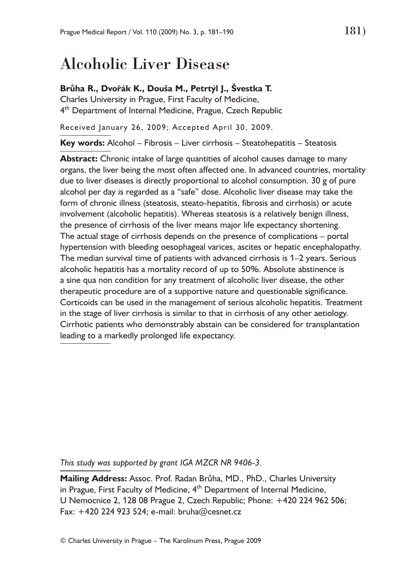# Alcoholic Liver Disease

## **Brůha R., Dvořák K., Douša M., Petrtýl J., Švestka T.**

Charles University in Prague, First Faculty of Medicine, 4<sup>th</sup> Department of Internal Medicine, Prague, Czech Republic

Received January 26, 2009; Accepted April 30, 2009.

**Key words:** Alcohol – Fibrosis – Liver cirrhosis – Steatohepatitis – Steatosis

**Abstract:** Chronic intake of large quantities of alcohol causes damage to many organs, the liver being the most often affected one. In advanced countries, mortality due to liver diseases is directly proportional to alcohol consumption. 30 g of pure alcohol per day is regarded as a "safe" dose. Alcoholic liver disease may take the form of chronic illness (steatosis, steato-hepatitis, fibrosis and cirrhosis) or acute involvement (alcoholic hepatitis). Whereas steatosis is a relatively benign illness, the presence of cirrhosis of the liver means major life expectancy shortening. The actual stage of cirrhosis depends on the presence of complications – portal hypertension with bleeding oesophageal varices, ascites or hepatic encephalopathy. The median survival time of patients with advanced cirrhosis is 1–2 years. Serious alcoholic hepatitis has a mortality record of up to 50%. Absolute abstinence is a sine qua non condition for any treatment of alcoholic liver disease, the other therapeutic procedure are of a supportive nature and questionable significance. Corticoids can be used in the management of serious alcoholic hepatitis. Treatment in the stage of liver cirrhosis is similar to that in cirrhosis of any other aetiology. Cirrhotic patients who demonstrably abstain can be considered for transplantation leading to a markedly prolonged life expectancy.

*This study was supported by grant IGA MZCR NR 9406-3.*

**Mailing Address:** Assoc. Prof. Radan Brůha, MD., PhD., Charles University in Prague, First Faculty of Medicine, 4<sup>th</sup> Department of Internal Medicine, U Nemocnice 2, 128 08 Prague 2, Czech Republic; Phone: +420 224 962 506; Fax: +420 224 923 524; e-mail: bruha@cesnet.cz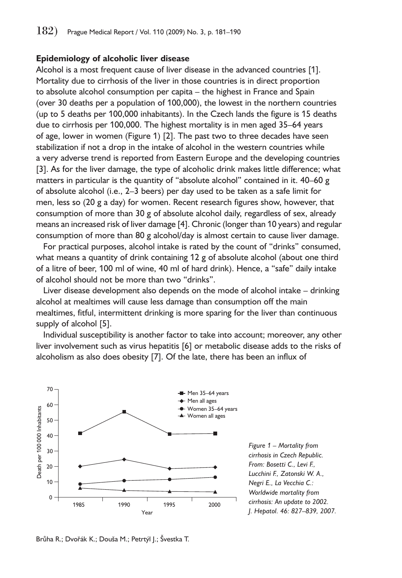### **Epidemiology of alcoholic liver disease**

Alcohol is a most frequent cause of liver disease in the advanced countries [1]. Mortality due to cirrhosis of the liver in those countries is in direct proportion to absolute alcohol consumption per capita – the highest in France and Spain (over 30 deaths per a population of 100,000), the lowest in the northern countries (up to 5 deaths per 100,000 inhabitants). In the Czech lands the figure is 15 deaths due to cirrhosis per 100,000. The highest mortality is in men aged 35–64 years of age, lower in women (Figure 1) [2]. The past two to three decades have seen stabilization if not a drop in the intake of alcohol in the western countries while a very adverse trend is reported from Eastern Europe and the developing countries [3]. As for the liver damage, the type of alcoholic drink makes little difference; what matters in particular is the quantity of "absolute alcohol" contained in it. 40–60 g of absolute alcohol (i.e., 2–3 beers) per day used to be taken as a safe limit for men, less so (20 g a day) for women. Recent research figures show, however, that consumption of more than 30 g of absolute alcohol daily, regardless of sex, already means an increased risk of liver damage [4]. Chronic (longer than 10 years) and regular consumption of more than 80 g alcohol/day is almost certain to cause liver damage.

For practical purposes, alcohol intake is rated by the count of "drinks" consumed, what means a quantity of drink containing 12 g of absolute alcohol (about one third of a litre of beer, 100 ml of wine, 40 ml of hard drink). Hence, a "safe" daily intake of alcohol should not be more than two "drinks".

Liver disease development also depends on the mode of alcohol intake – drinking alcohol at mealtimes will cause less damage than consumption off the main mealtimes, fitful, intermittent drinking is more sparing for the liver than continuous supply of alcohol [5].

Individual susceptibility is another factor to take into account; moreover, any other liver involvement such as virus hepatitis [6] or metabolic disease adds to the risks of alcoholism as also does obesity [7]. Of the late, there has been an influx of



*Figure 1 – Mortality from cirrhosis in Czech Republic. From: Bosetti C., Levi F., Lucchini F., Zatonski W. A., Negri E., La Vecchia C.: Worldwide mortality from cirrhosis: An update to 2002. J. Hepatol. 46: 827–839, 2007.*

Brůha R.; Dvořák K.; Douša M.; Petrtýl J.; Švestka T.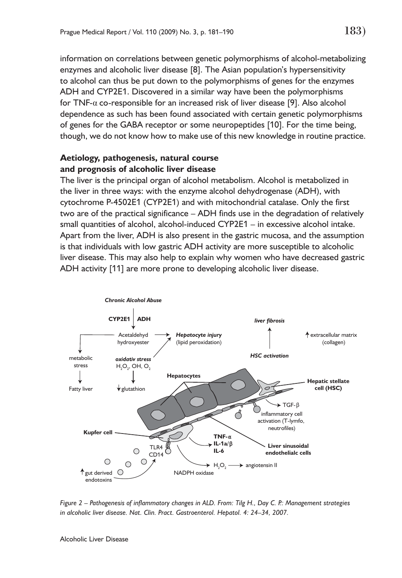information on correlations between genetic polymorphisms of alcohol-metabolizing enzymes and alcoholic liver disease [8]. The Asian population's hypersensitivity to alcohol can thus be put down to the polymorphisms of genes for the enzymes ADH and CYP2E1. Discovered in a similar way have been the polymorphisms for TNF-α co-responsible for an increased risk of liver disease [9]. Also alcohol dependence as such has been found associated with certain genetic polymorphisms of genes for the GABA receptor or some neuropeptides [10]. For the time being, though, we do not know how to make use of this new knowledge in routine practice.

## **Aetiology, pathogenesis, natural course and prognosis of alcoholic liver disease**

The liver is the principal organ of alcohol metabolism. Alcohol is metabolized in the liver in three ways: with the enzyme alcohol dehydrogenase (ADH), with cytochrome P-4502E1 (CYP2E1) and with mitochondrial catalase. Only the first two are of the practical significance – ADH finds use in the degradation of relatively small quantities of alcohol, alcohol-induced CYP2E1 – in excessive alcohol intake. Apart from the liver, ADH is also present in the gastric mucosa, and the assumption is that individuals with low gastric ADH activity are more susceptible to alcoholic liver disease. This may also help to explain why women who have decreased gastric ADH activity [11] are more prone to developing alcoholic liver disease.



*Figure 2 – Pathogenesis of inflammatory changes in ALD. From: Tilg H., Day C. P.: Management strategies*  in alcoholic liver disease. Nat. Clin. Pract. Gastroenterol. Hepatol. 4: 24-34, 2007.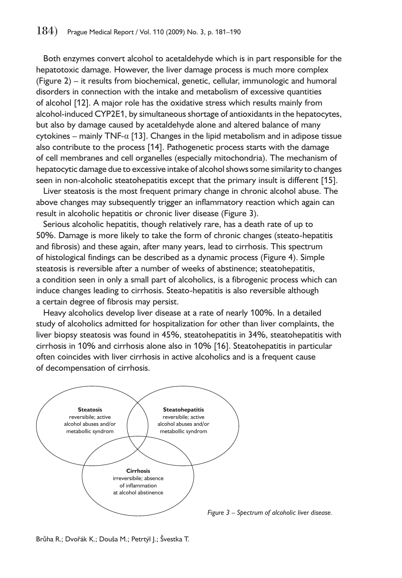Both enzymes convert alcohol to acetaldehyde which is in part responsible for the hepatotoxic damage. However, the liver damage process is much more complex (Figure 2) – it results from biochemical, genetic, cellular, immunologic and humoral disorders in connection with the intake and metabolism of excessive quantities of alcohol [12]. A major role has the oxidative stress which results mainly from alcohol-induced CYP2E1, by simultaneous shortage of antioxidants in the hepatocytes, but also by damage caused by acetaldehyde alone and altered balance of many cytokines – mainly TNF- $\alpha$  [13]. Changes in the lipid metabolism and in adipose tissue also contribute to the process [14]. Pathogenetic process starts with the damage of cell membranes and cell organelles (especially mitochondria). The mechanism of hepatocytic damage due to excessive intake of alcohol shows some similarity to changes seen in non-alcoholic steatohepatitis except that the primary insult is different [15].

Liver steatosis is the most frequent primary change in chronic alcohol abuse. The above changes may subsequently trigger an inflammatory reaction which again can result in alcoholic hepatitis or chronic liver disease (Figure 3).

Serious alcoholic hepatitis, though relatively rare, has a death rate of up to 50%. Damage is more likely to take the form of chronic changes (steato-hepatitis and fibrosis) and these again, after many years, lead to cirrhosis. This spectrum of histological findings can be described as a dynamic process (Figure 4). Simple steatosis is reversible after a number of weeks of abstinence; steatohepatitis, a condition seen in only a small part of alcoholics, is a fibrogenic process which can induce changes leading to cirrhosis. Steato-hepatitis is also reversible although a certain degree of fibrosis may persist.

Heavy alcoholics develop liver disease at a rate of nearly 100%. In a detailed study of alcoholics admitted for hospitalization for other than liver complaints, the liver biopsy steatosis was found in 45%, steatohepatitis in 34%, steatohepatitis with cirrhosis in 10% and cirrhosis alone also in 10% [16]. Steatohepatitis in particular often coincides with liver cirrhosis in active alcoholics and is a frequent cause of decompensation of cirrhosis.



*Figure 3 – Spectrum of alcoholic liver disease.* 

Brůha R.; Dvořák K.; Douša M.; Petrtýl J.; Švestka T.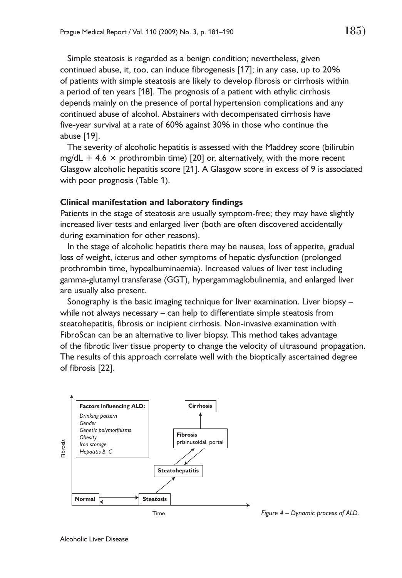Simple steatosis is regarded as a benign condition; nevertheless, given continued abuse, it, too, can induce fibrogenesis [17]; in any case, up to 20% of patients with simple steatosis are likely to develop fibrosis or cirrhosis within a period of ten years [18]. The prognosis of a patient with ethylic cirrhosis depends mainly on the presence of portal hypertension complications and any continued abuse of alcohol. Abstainers with decompensated cirrhosis have five-year survival at a rate of 60% against 30% in those who continue the abuse [19].

The severity of alcoholic hepatitis is assessed with the Maddrey score (bilirubin mg/dL + 4.6  $\times$  prothrombin time) [20] or, alternatively, with the more recent Glasgow alcoholic hepatitis score [21]. A Glasgow score in excess of 9 is associated with poor prognosis (Table 1).

#### **Clinical manifestation and laboratory findings**

Patients in the stage of steatosis are usually symptom-free; they may have slightly increased liver tests and enlarged liver (both are often discovered accidentally during examination for other reasons).

In the stage of alcoholic hepatitis there may be nausea, loss of appetite, gradual loss of weight, icterus and other symptoms of hepatic dysfunction (prolonged prothrombin time, hypoalbuminaemia). Increased values of liver test including gamma-glutamyl transferase (GGT), hypergammaglobulinemia, and enlarged liver are usually also present.

Sonography is the basic imaging technique for liver examination. Liver biopsy – while not always necessary – can help to differentiate simple steatosis from steatohepatitis, fibrosis or incipient cirrhosis. Non-invasive examination with FibroScan can be an alternative to liver biopsy. This method takes advantage of the fibrotic liver tissue property to change the velocity of ultrasound propagation. The results of this approach correlate well with the bioptically ascertained degree of fibrosis [22].

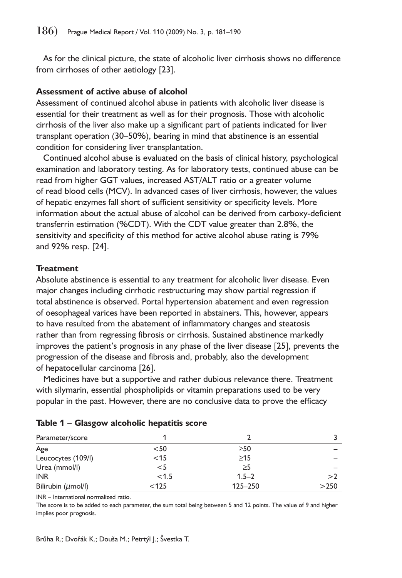As for the clinical picture, the state of alcoholic liver cirrhosis shows no difference from cirrhoses of other aetiology [23].

## **Assessment of active abuse of alcohol**

Assessment of continued alcohol abuse in patients with alcoholic liver disease is essential for their treatment as well as for their prognosis. Those with alcoholic cirrhosis of the liver also make up a significant part of patients indicated for liver transplant operation (30–50%), bearing in mind that abstinence is an essential condition for considering liver transplantation.

Continued alcohol abuse is evaluated on the basis of clinical history, psychological examination and laboratory testing. As for laboratory tests, continued abuse can be read from higher GGT values, increased AST/ALT ratio or a greater volume of read blood cells (MCV). In advanced cases of liver cirrhosis, however, the values of hepatic enzymes fall short of sufficient sensitivity or specificity levels. More information about the actual abuse of alcohol can be derived from carboxy-deficient transferrin estimation (%CDT). With the CDT value greater than 2.8%, the sensitivity and specificity of this method for active alcohol abuse rating is 79% and 92% resp. [24].

## **Treatment**

Absolute abstinence is essential to any treatment for alcoholic liver disease. Even major changes including cirrhotic restructuring may show partial regression if total abstinence is observed. Portal hypertension abatement and even regression of oesophageal varices have been reported in abstainers. This, however, appears to have resulted from the abatement of inflammatory changes and steatosis rather than from regressing fibrosis or cirrhosis. Sustained abstinence markedly improves the patient's prognosis in any phase of the liver disease [25], prevents the progression of the disease and fibrosis and, probably, also the development of hepatocellular carcinoma [26].

Medicines have but a supportive and rather dubious relevance there. Treatment with silymarin, essential phospholipids or vitamin preparations used to be very popular in the past. However, there are no conclusive data to prove the efficacy

| Parameter/score         |        |           |      |
|-------------------------|--------|-----------|------|
| Age                     | $50$   | $\geq 50$ |      |
| Leucocytes (109/l)      | $<$ 15 | $\geq$ 15 |      |
| Urea (mmol/l)           | $<$ 5  | $\geq$ 5  |      |
| <b>INR</b>              | < 1.5  | $1.5 - 2$ | >2   |
| Bilirubin $(\mu$ mol/l) | < 125  | 125-250   | >250 |

|  |  |  | Table 1 - Glasgow alcoholic hepatitis score |  |  |
|--|--|--|---------------------------------------------|--|--|
|--|--|--|---------------------------------------------|--|--|

INR – International normalized ratio.

The score is to be added to each parameter, the sum total being between 5 and 12 points. The value of 9 and higher implies poor prognosis.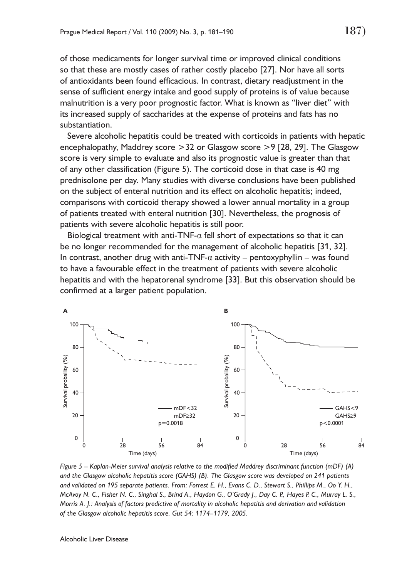of those medicaments for longer survival time or improved clinical conditions so that these are mostly cases of rather costly placebo [27]. Nor have all sorts of antioxidants been found efficacious. In contrast, dietary readjustment in the sense of sufficient energy intake and good supply of proteins is of value because malnutrition is a very poor prognostic factor. What is known as "liver diet" with its increased supply of saccharides at the expense of proteins and fats has no substantiation.

Severe alcoholic hepatitis could be treated with corticoids in patients with hepatic encephalopathy, Maddrey score >32 or Glasgow score >9 [28, 29]. The Glasgow score is very simple to evaluate and also its prognostic value is greater than that of any other classification (Figure 5). The corticoid dose in that case is 40 mg prednisolone per day. Many studies with diverse conclusions have been published on the subject of enteral nutrition and its effect on alcoholic hepatitis; indeed, comparisons with corticoid therapy showed a lower annual mortality in a group of patients treated with enteral nutrition [30]. Nevertheless, the prognosis of patients with severe alcoholic hepatitis is still poor.

Biological treatment with anti-TNF- $\alpha$  fell short of expectations so that it can be no longer recommended for the management of alcoholic hepatitis [31, 32]. In contrast, another drug with anti-TNF- $\alpha$  activity – pentoxyphyllin – was found to have a favourable effect in the treatment of patients with severe alcoholic hepatitis and with the hepatorenal syndrome [33]. But this observation should be confirmed at a larger patient population.



*Figure 5 – Kaplan-Meier survival analysis relative to the modified Maddrey discriminant function (mDF) (A) and the Glasgow alcoholic hepatitis score (GAHS) (B). The Glasgow score was developed on 241 patients and validated on 195 separate patients. From: Forrest E. H., Evans C. D., Stewart S., Phillips M., Oo Y. H., McAvoy N. C., Fisher N. C., Singhal S., Brind A., Haydon G., O'Grady J., Day C. P., Hayes P. C., Murray L. S., Morris A. J.: Analysis of factors predictive of mortality in alcoholic hepatitis and derivation and validation of the Glasgow alcoholic hepatitis score. Gut 54: 1174–1179, 2005.*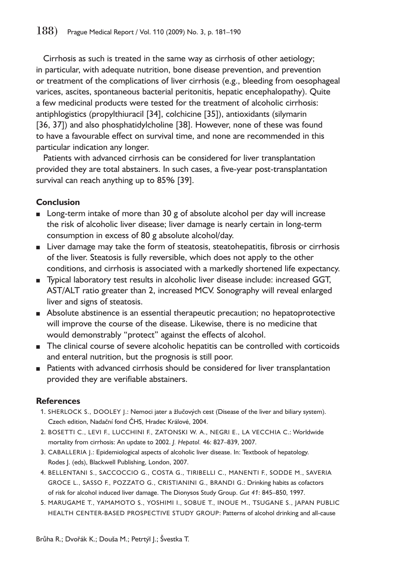Cirrhosis as such is treated in the same way as cirrhosis of other aetiology; in particular, with adequate nutrition, bone disease prevention, and prevention or treatment of the complications of liver cirrhosis (e.g., bleeding from oesophageal varices, ascites, spontaneous bacterial peritonitis, hepatic encephalopathy). Quite a few medicinal products were tested for the treatment of alcoholic cirrhosis: antiphlogistics (propylthiuracil [34], colchicine [35]), antioxidants (silymarin [36, 37]) and also phosphatidylcholine [38]. However, none of these was found to have a favourable effect on survival time, and none are recommended in this particular indication any longer.

Patients with advanced cirrhosis can be considered for liver transplantation provided they are total abstainers. In such cases, a five-year post-transplantation survival can reach anything up to 85% [39].

# **Conclusion**

- Long-term intake of more than 30 g of absolute alcohol per day will increase the risk of alcoholic liver disease; liver damage is nearly certain in long-term consumption in excess of 80 g absolute alcohol/day.
- Liver damage may take the form of steatosis, steatohepatitis, fibrosis or cirrhosis of the liver. Steatosis is fully reversible, which does not apply to the other conditions, and cirrhosis is associated with a markedly shortened life expectancy.
- Typical laboratory test results in alcoholic liver disease include: increased GGT, AST/ALT ratio greater than 2, increased MCV. Sonography will reveal enlarged liver and signs of steatosis.
- Absolute abstinence is an essential therapeutic precaution; no hepatoprotective will improve the course of the disease. Likewise, there is no medicine that would demonstrably "protect" against the effects of alcohol.
- The clinical course of severe alcoholic hepatitis can be controlled with corticoids and enteral nutrition, but the prognosis is still poor.
- Patients with advanced cirrhosis should be considered for liver transplantation provided they are verifiable abstainers.

# **References**

- 1. SHERLOCK S., DOOLEY J.: Nemoci jater a žlučových cest (Disease of the liver and biliary system). Czech edition, Nadační fond ČHS, Hradec Králové, 2004.
- 2. BOSETTI C., LEVI F., LUCCHINI F., ZATONSKI W. A., NEGRI E., LA VECCHIA C.: Worldwide mortality from cirrhosis: An update to 2002. *J. Hepatol.* 46: 827–839, 2007.
- 3. CABALLERIA J.: Epidemiological aspects of alcoholic liver disease. In: Textbook of hepatology. Rodes J. (eds), Blackwell Publishing, London, 2007.
- 4. BELLENTANI S., SACCOCCIO G., COSTA G., TIRIBELLI C., MANENTI F., SODDE M., SAVERIA GROCE L., SASSO F., POZZATO G., CRISTIANINI G., BRANDI G.: Drinking habits as cofactors of risk for alcohol induced liver damage. The Dionysos Study Group. *Gut 41*: 845–850, 1997.
- 5. MARUGAME T., YAMAMOTO S., YOSHIMI I., SOBUE T., INOUE M., TSUGANE S., JAPAN PUBLIC HEALTH CENTER-BASED PROSPECTIVE STUDY GROUP: Patterns of alcohol drinking and all-cause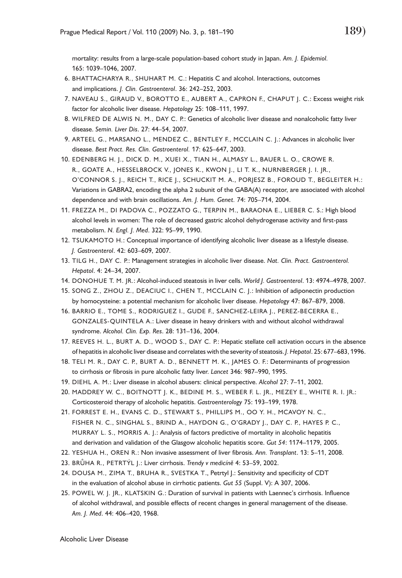mortality: results from a large-scale population-based cohort study in Japan. *Am. J. Epidemiol.* 165: 1039–1046, 2007.

- 6. BHATTACHARYA R., SHUHART M. C.: Hepatitis C and alcohol. Interactions, outcomes and implications. *J. Clin. Gastroenterol*. 36: 242–252, 2003.
- 7. NAVEAU S., GIRAUD V., BOROTTO E., AUBERT A., CAPRON F., CHAPUT J. C.: Excess weight risk factor for alcoholic liver disease. *Hepatology* 25: 108–111, 1997.
- 8. WILFRED DE ALWIS N. M., DAY C. P.: Genetics of alcoholic liver disease and nonalcoholic fatty liver disease. *Semin. Liver Dis*. 27: 44–54, 2007.
- 9. ARTEEL G., MARSANO L., MENDEZ C., BENTLEY F., MCCLAIN C. J.: Advances in alcoholic liver disease. *Best Pract. Res. Clin. Gastroenterol.* 17: 625–647, 2003.
- 10. EDENBERG H. J., DICK D. M., XUEI X., TIAN H., ALMASY L., BAUER L. O., CROWE R. R., GOATE A., HESSELBROCK V., JONES K., KWON J., LI T. K., NURNBERGER J. I. JR., O'CONNOR S. J., REICH T., RICE J., SCHUCKIT M. A., PORJESZ B., FOROUD T., BEGLEITER H.: Variations in GABRA2, encoding the alpha 2 subunit of the GABA(A) receptor, are associated with alcohol dependence and with brain oscillations. *Am. J. Hum. Genet.* 74: 705–714, 2004.
- 11. FREZZA M., DI PADOVA C., POZZATO G., TERPIN M., BARAONA E., LIEBER C. S.: High blood alcohol levels in women: The role of decreased gastric alcohol dehydrogenase activity and first-pass metabolism. *N. Engl. J. Med*. 322: 95–99, 1990.
- 12. TSUKAMOTO H.: Conceptual importance of identifying alcoholic liver disease as a lifestyle disease. *J. Gastroenterol*. 42: 603–609, 2007.
- 13. TILG H., DAY C. P.: Management strategies in alcoholic liver disease. *Nat. Clin. Pract. Gastroenterol. Hepatol*. 4: 24–34, 2007.
- 14. DONOHUE T. M. JR.: Alcohol-induced steatosis in liver cells. *World J. Gastroenterol*. 13: 4974–4978, 2007.
- 15. SONG Z., ZHOU Z., DEACIUC I., CHEN T., MCCLAIN C. J.: Inhibition of adiponectin production by homocysteine: a potential mechanism for alcoholic liver disease. *Hepatology* 47: 867–879, 2008.
- 16. BARRIO E., TOME S., RODRIGUEZ I., GUDE F., SANCHEZ-LEIRA J., PEREZ-BECERRA E., GONZALES-QUINTELA A.: Liver disease in heavy drinkers with and without alcohol withdrawal syndrome. *Alcohol. Clin. Exp. Res*. 28: 131–136, 2004.
- 17. REEVES H. L., BURT A. D., WOOD S., DAY C. P.: Hepatic stellate cell activation occurs in the absence of hepatitis in alcoholic liver disease and correlates with the severity of steatosis. *J. Hepatol*. 25: 677–683, 1996.
- 18. TELI M. R., DAY C. P., BURT A. D., BENNETT M. K., JAMES O. F.: Determinants of progression to cirrhosis or fibrosis in pure alcoholic fatty liver. *Lancet* 346: 987–990, 1995.
- 19. DIEHL A. M.: Liver disease in alcohol abusers: clinical perspective. *Alcohol* 27: 7–11, 2002.
- 20. MADDREY W. C., BOITNOTT J. K., BEDINE M. S., WEBER F. L. JR., MEZEY E., WHITE R. I. JR.: Corticosteroid therapy of alcoholic hepatitis. *Gastroenterology* 75: 193–199, 1978.
- 21. FORREST E. H., EVANS C. D., STEWART S., PHILLIPS M., OO Y. H., MCAVOY N. C., FISHER N. C., SINGHAL S., BRIND A., HAYDON G., O'GRADY J., DAY C. P., HAYES P. C., MURRAY L. S., MORRIS A. J.: Analysis of factors predictive of mortality in alcoholic hepatitis and derivation and validation of the Glasgow alcoholic hepatitis score. *Gut 54*: 1174–1179, 2005.
- 22. YESHUA H., OREN R.: Non invasive assessment of liver fibrosis. *Ann. Transplant*. 13: 5–11, 2008.
- 23. BRŮHA R., PETRTÝL J.: Liver cirrhosis. *Trendy v medicíně* 4: 53–59, 2002.
- 24. DOUSA M., ZIMA T., BRUHA R., SVESTKA T., Petrtyl J.: Sensitivity and specificity of CDT in the evaluation of alcohol abuse in cirrhotic patients. *Gut 55* (Suppl. V): A 307, 2006.
- 25. POWEL W. J. JR., KLATSKIN G.: Duration of survival in patients with Laennec's cirrhosis. Influence of alcohol withdrawal, and possible effects of recent changes in general management of the disease. *Am. J. Med*. 44: 406–420, 1968.

Alcoholic Liver Disease